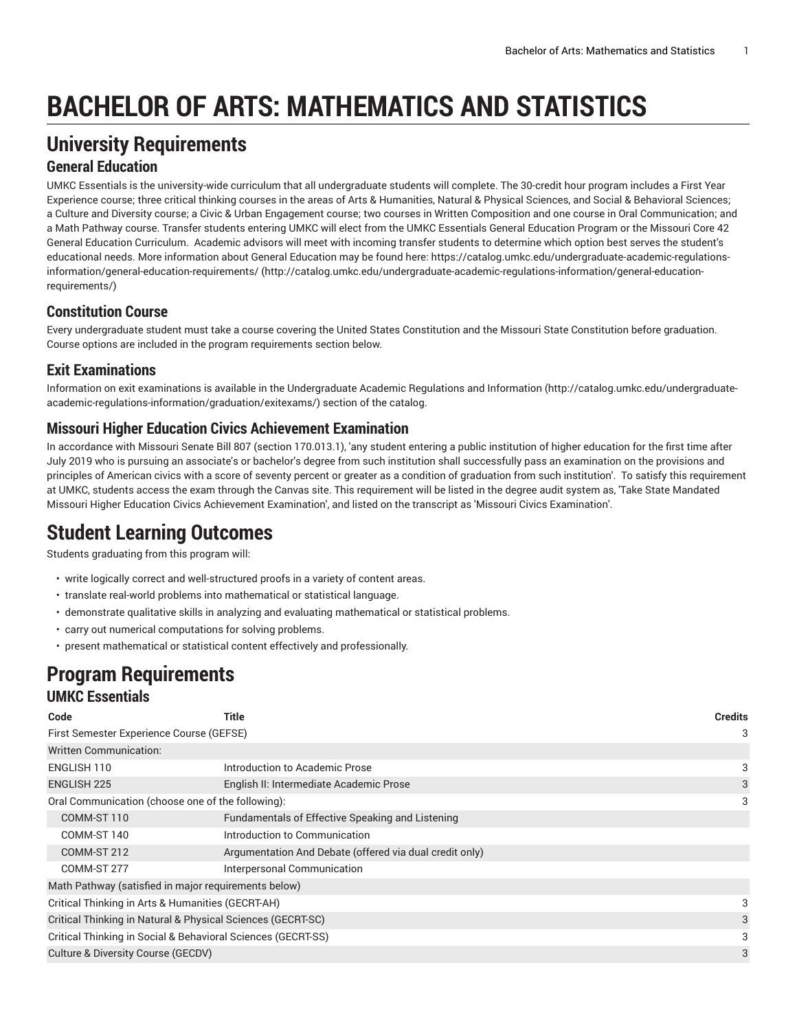# **BACHELOR OF ARTS: MATHEMATICS AND STATISTICS**

## **University Requirements**

### **General Education**

UMKC Essentials is the university-wide curriculum that all undergraduate students will complete. The 30-credit hour program includes a First Year Experience course; three critical thinking courses in the areas of Arts & Humanities, Natural & Physical Sciences, and Social & Behavioral Sciences; a Culture and Diversity course; a Civic & Urban Engagement course; two courses in Written Composition and one course in Oral Communication; and a Math Pathway course. Transfer students entering UMKC will elect from the UMKC Essentials General Education Program or the Missouri Core 42 General Education Curriculum. Academic advisors will meet with incoming transfer students to determine which option best serves the student's educational needs. More information about General Education may be found here: [https://catalog.umkc.edu/undergraduate-academic-regulations](http://catalog.umkc.edu/undergraduate-academic-regulations-information/general-education-requirements/)[information/general-education-requirements/](http://catalog.umkc.edu/undergraduate-academic-regulations-information/general-education-requirements/) ([http://catalog.umkc.edu/undergraduate-academic-regulations-information/general-education](http://catalog.umkc.edu/undergraduate-academic-regulations-information/general-education-requirements/)[requirements/\)](http://catalog.umkc.edu/undergraduate-academic-regulations-information/general-education-requirements/)

### **Constitution Course**

Every undergraduate student must take a course covering the United States Constitution and the Missouri State Constitution before graduation. Course options are included in the program requirements section below.

## **Exit Examinations**

Information on exit examinations is available in the [Undergraduate](http://catalog.umkc.edu/undergraduate-academic-regulations-information/graduation/exitexams/) Academic Regulations and Information [\(http://catalog.umkc.edu/undergraduate](http://catalog.umkc.edu/undergraduate-academic-regulations-information/graduation/exitexams/)[academic-regulations-information/graduation/exitexams/](http://catalog.umkc.edu/undergraduate-academic-regulations-information/graduation/exitexams/)) section of the catalog.

### **Missouri Higher Education Civics Achievement Examination**

In accordance with Missouri Senate Bill 807 (section 170.013.1), 'any student entering a public institution of higher education for the first time after July 2019 who is pursuing an associate's or bachelor's degree from such institution shall successfully pass an examination on the provisions and principles of American civics with a score of seventy percent or greater as a condition of graduation from such institution'. To satisfy this requirement at UMKC, students access the exam through the Canvas site. This requirement will be listed in the degree audit system as, 'Take State Mandated Missouri Higher Education Civics Achievement Examination', and listed on the transcript as 'Missouri Civics Examination'.

## **Student Learning Outcomes**

Students graduating from this program will:

- write logically correct and well-structured proofs in a variety of content areas.
- translate real-world problems into mathematical or statistical language.
- demonstrate qualitative skills in analyzing and evaluating mathematical or statistical problems.
- carry out numerical computations for solving problems.
- present mathematical or statistical content effectively and professionally.

## **Program Requirements UMKC Essentials**

| Code                                                         | Title                                                   | <b>Credits</b> |  |
|--------------------------------------------------------------|---------------------------------------------------------|----------------|--|
| First Semester Experience Course (GEFSE)                     |                                                         |                |  |
| <b>Written Communication:</b>                                |                                                         |                |  |
| ENGLISH 110                                                  | Introduction to Academic Prose                          | 3              |  |
| <b>ENGLISH 225</b>                                           | English II: Intermediate Academic Prose                 | 3              |  |
| Oral Communication (choose one of the following):            |                                                         | 3              |  |
| COMM-ST 110                                                  | Fundamentals of Effective Speaking and Listening        |                |  |
| COMM-ST 140                                                  | Introduction to Communication                           |                |  |
| COMM-ST 212                                                  | Argumentation And Debate (offered via dual credit only) |                |  |
| COMM-ST 277                                                  | Interpersonal Communication                             |                |  |
| Math Pathway (satisfied in major requirements below)         |                                                         |                |  |
| Critical Thinking in Arts & Humanities (GECRT-AH)            |                                                         | 3              |  |
| Critical Thinking in Natural & Physical Sciences (GECRT-SC)  |                                                         |                |  |
| Critical Thinking in Social & Behavioral Sciences (GECRT-SS) |                                                         |                |  |
| Culture & Diversity Course (GECDV)                           |                                                         |                |  |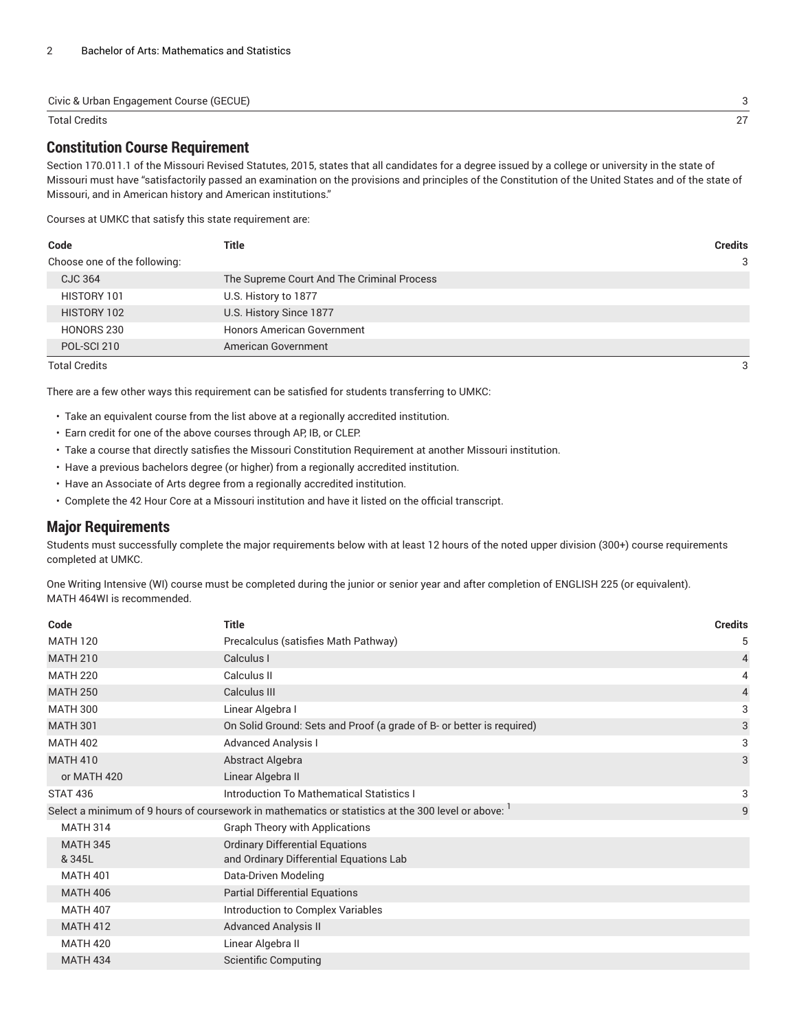#### Civic & Urban Engagement Course (GECUE) 3

#### Total Credits 27

### **Constitution Course Requirement**

Section 170.011.1 of the Missouri Revised Statutes, 2015, states that all candidates for a degree issued by a college or university in the state of Missouri must have "satisfactorily passed an examination on the provisions and principles of the Constitution of the United States and of the state of Missouri, and in American history and American institutions."

Courses at UMKC that satisfy this state requirement are:

| Code                         | Title                                      | <b>Credits</b> |
|------------------------------|--------------------------------------------|----------------|
| Choose one of the following: |                                            | 3              |
| CJC 364                      | The Supreme Court And The Criminal Process |                |
| HISTORY 101                  | U.S. History to 1877                       |                |
| HISTORY 102                  | U.S. History Since 1877                    |                |
| HONORS 230                   | <b>Honors American Government</b>          |                |
| POL-SCI 210                  | American Government                        |                |

Total Credits 3

There are a few other ways this requirement can be satisfied for students transferring to UMKC:

- Take an equivalent course from the list above at a regionally accredited institution.
- Earn credit for one of the above courses through AP, IB, or CLEP.
- Take a course that directly satisfies the Missouri Constitution Requirement at another Missouri institution.
- Have a previous bachelors degree (or higher) from a regionally accredited institution.
- Have an Associate of Arts degree from a regionally accredited institution.
- Complete the 42 Hour Core at a Missouri institution and have it listed on the official transcript.

#### **Major Requirements**

Students must successfully complete the major requirements below with at least 12 hours of the noted upper division (300+) course requirements completed at UMKC.

One Writing Intensive (WI) course must be completed during the junior or senior year and after completion of ENGLISH 225 (or equivalent). MATH 464WI is recommended.

| Code            | <b>Title</b>                                                                                      | <b>Credits</b> |
|-----------------|---------------------------------------------------------------------------------------------------|----------------|
| <b>MATH 120</b> | Precalculus (satisfies Math Pathway)                                                              | 5              |
| <b>MATH 210</b> | Calculus I                                                                                        | $\overline{4}$ |
| <b>MATH 220</b> | Calculus II                                                                                       | 4              |
| <b>MATH 250</b> | Calculus III                                                                                      | $\overline{4}$ |
| <b>MATH 300</b> | Linear Algebra I                                                                                  | 3              |
| <b>MATH 301</b> | On Solid Ground: Sets and Proof (a grade of B- or better is required)                             | 3              |
| <b>MATH 402</b> | <b>Advanced Analysis I</b>                                                                        | 3              |
| <b>MATH 410</b> | Abstract Algebra                                                                                  | 3              |
| or MATH 420     | Linear Algebra II                                                                                 |                |
| <b>STAT 436</b> | <b>Introduction To Mathematical Statistics I</b>                                                  | 3              |
|                 | Select a minimum of 9 hours of coursework in mathematics or statistics at the 300 level or above: | 9              |
| <b>MATH 314</b> | <b>Graph Theory with Applications</b>                                                             |                |
| <b>MATH 345</b> | <b>Ordinary Differential Equations</b>                                                            |                |
| & 345L          | and Ordinary Differential Equations Lab                                                           |                |
| <b>MATH 401</b> | Data-Driven Modeling                                                                              |                |
| <b>MATH 406</b> | <b>Partial Differential Equations</b>                                                             |                |
| <b>MATH 407</b> | Introduction to Complex Variables                                                                 |                |
| <b>MATH 412</b> | <b>Advanced Analysis II</b>                                                                       |                |
| <b>MATH 420</b> | Linear Algebra II                                                                                 |                |
| <b>MATH 434</b> | <b>Scientific Computing</b>                                                                       |                |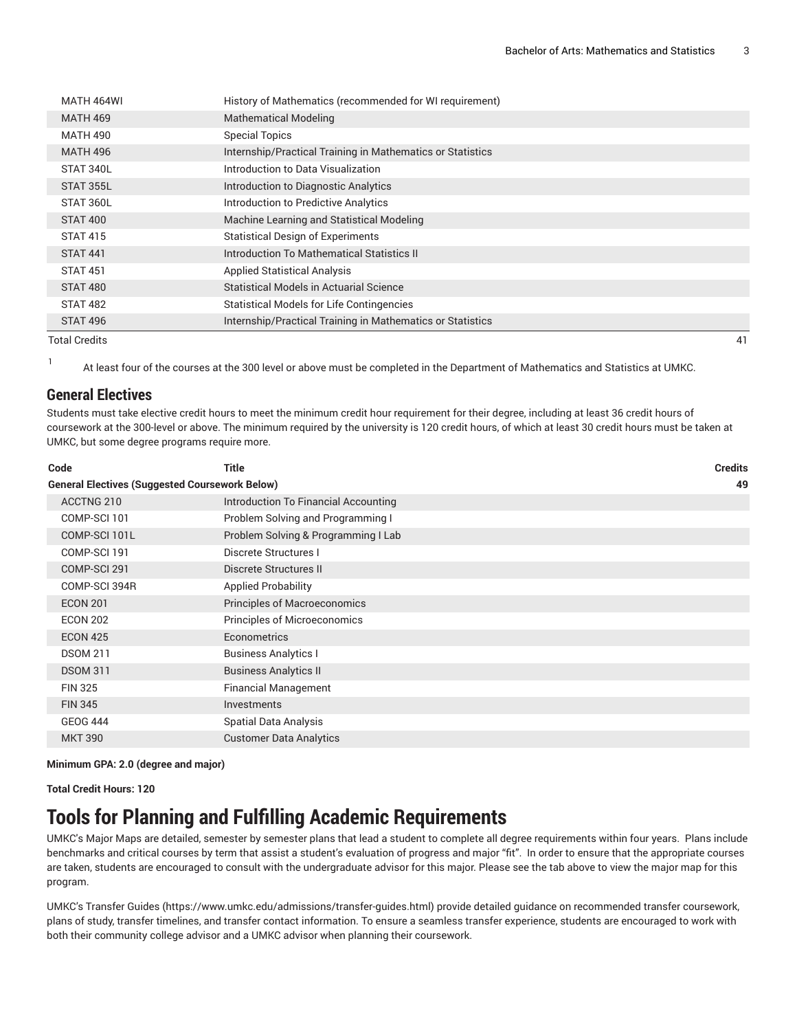| MATH 464WI      | History of Mathematics (recommended for WI requirement)    |    |
|-----------------|------------------------------------------------------------|----|
| <b>MATH 469</b> | <b>Mathematical Modeling</b>                               |    |
| <b>MATH 490</b> | <b>Special Topics</b>                                      |    |
| <b>MATH 496</b> | Internship/Practical Training in Mathematics or Statistics |    |
| STAT 340L       | Introduction to Data Visualization                         |    |
| STAT 355L       | Introduction to Diagnostic Analytics                       |    |
| STAT 360L       | Introduction to Predictive Analytics                       |    |
| STAT 400        | Machine Learning and Statistical Modeling                  |    |
| <b>STAT 415</b> | <b>Statistical Design of Experiments</b>                   |    |
| <b>STAT 441</b> | Introduction To Mathematical Statistics II                 |    |
| <b>STAT 451</b> | <b>Applied Statistical Analysis</b>                        |    |
| <b>STAT 480</b> | <b>Statistical Models in Actuarial Science</b>             |    |
| STAT 482        | <b>Statistical Models for Life Contingencies</b>           |    |
| STAT 496        | Internship/Practical Training in Mathematics or Statistics |    |
| Total Credits   |                                                            | 41 |

1

At least four of the courses at the 300 level or above must be completed in the Department of Mathematics and Statistics at UMKC.

### **General Electives**

Students must take elective credit hours to meet the minimum credit hour requirement for their degree, including at least 36 credit hours of coursework at the 300-level or above. The minimum required by the university is 120 credit hours, of which at least 30 credit hours must be taken at UMKC, but some degree programs require more.

| Code                                                  | <b>Title</b>                         | <b>Credits</b> |
|-------------------------------------------------------|--------------------------------------|----------------|
| <b>General Electives (Suggested Coursework Below)</b> |                                      | 49             |
| ACCTNG 210                                            | Introduction To Financial Accounting |                |
| COMP-SCI 101                                          | Problem Solving and Programming I    |                |
| COMP-SCI 101L                                         | Problem Solving & Programming I Lab  |                |
| COMP-SCI 191                                          | Discrete Structures I                |                |
| COMP-SCI 291                                          | Discrete Structures II               |                |
| COMP-SCI 394R                                         | <b>Applied Probability</b>           |                |
| <b>ECON 201</b>                                       | Principles of Macroeconomics         |                |
| <b>ECON 202</b>                                       | <b>Principles of Microeconomics</b>  |                |
| <b>ECON 425</b>                                       | Econometrics                         |                |
| <b>DSOM 211</b>                                       | <b>Business Analytics I</b>          |                |
| <b>DSOM 311</b>                                       | <b>Business Analytics II</b>         |                |
| <b>FIN 325</b>                                        | <b>Financial Management</b>          |                |
| <b>FIN 345</b>                                        | <b>Investments</b>                   |                |
| <b>GEOG 444</b>                                       | <b>Spatial Data Analysis</b>         |                |
| <b>MKT 390</b>                                        | <b>Customer Data Analytics</b>       |                |

#### **Minimum GPA: 2.0 (degree and major)**

**Total Credit Hours: 120**

## **Tools for Planning and Fulfilling Academic Requirements**

UMKC's Major Maps are detailed, semester by semester plans that lead a student to complete all degree requirements within four years. Plans include benchmarks and critical courses by term that assist a student's evaluation of progress and major "fit". In order to ensure that the appropriate courses are taken, students are encouraged to consult with the undergraduate advisor for this major. Please see the tab above to view the major map for this program.

UMKC's [Transfer](https://www.umkc.edu/admissions/transfer-guides.html) Guides [\(https://www.umkc.edu/admissions/transfer-guides.html](https://www.umkc.edu/admissions/transfer-guides.html)) provide detailed guidance on recommended transfer coursework, plans of study, transfer timelines, and transfer contact information. To ensure a seamless transfer experience, students are encouraged to work with both their community college advisor and a UMKC advisor when planning their coursework.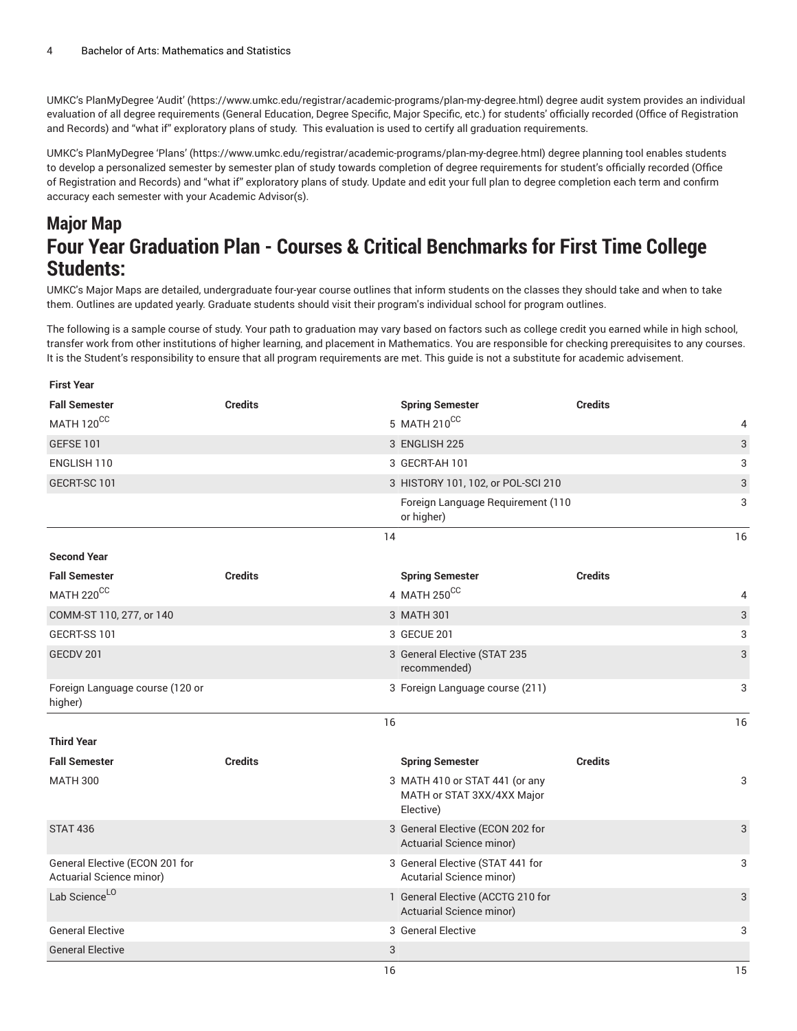UMKC's [PlanMyDegree](https://www.umkc.edu/registrar/academic-programs/plan-my-degree.html) 'Audit' ([https://www.umkc.edu/registrar/academic-programs/plan-my-degree.html\)](https://www.umkc.edu/registrar/academic-programs/plan-my-degree.html) degree audit system provides an individual evaluation of all degree requirements (General Education, Degree Specific, Major Specific, etc.) for students' officially recorded (Office of Registration and Records) and "what if" exploratory plans of study. This evaluation is used to certify all graduation requirements.

UMKC's [PlanMyDegree](https://www.umkc.edu/registrar/academic-programs/plan-my-degree.html) 'Plans' [\(https://www.umkc.edu/registrar/academic-programs/plan-my-degree.html\)](https://www.umkc.edu/registrar/academic-programs/plan-my-degree.html) degree planning tool enables students to develop a personalized semester by semester plan of study towards completion of degree requirements for student's officially recorded (Office of Registration and Records) and "what if" exploratory plans of study. Update and edit your full plan to degree completion each term and confirm accuracy each semester with your Academic Advisor(s).

## **Major Map Four Year Graduation Plan - Courses & Critical Benchmarks for First Time College Students:**

UMKC's Major Maps are detailed, undergraduate four-year course outlines that inform students on the classes they should take and when to take them. Outlines are updated yearly. Graduate students should visit their program's individual school for program outlines.

The following is a sample course of study. Your path to graduation may vary based on factors such as college credit you earned while in high school, transfer work from other institutions of higher learning, and placement in Mathematics. You are responsible for checking prerequisites to any courses. It is the Student's responsibility to ensure that all program requirements are met. This guide is not a substitute for academic advisement.

| <b>First Year</b>                                          |                |                                                                           |                |                           |
|------------------------------------------------------------|----------------|---------------------------------------------------------------------------|----------------|---------------------------|
| <b>Fall Semester</b>                                       | <b>Credits</b> | <b>Spring Semester</b>                                                    | <b>Credits</b> |                           |
| MATH 120CC                                                 |                | 5 MATH 210CC                                                              |                | 4                         |
| <b>GEFSE 101</b>                                           |                | 3 ENGLISH 225                                                             |                | $\ensuremath{\mathsf{3}}$ |
| ENGLISH 110                                                |                | 3 GECRT-AH 101                                                            |                | 3                         |
| GECRT-SC 101                                               |                | 3 HISTORY 101, 102, or POL-SCI 210                                        |                | 3                         |
|                                                            |                | Foreign Language Requirement (110<br>or higher)                           |                | 3                         |
|                                                            |                | 14                                                                        |                | 16                        |
| <b>Second Year</b>                                         |                |                                                                           |                |                           |
| <b>Fall Semester</b>                                       | <b>Credits</b> | <b>Spring Semester</b>                                                    | <b>Credits</b> |                           |
| MATH 220CC                                                 |                | 4 MATH 250CC                                                              |                | 4                         |
| COMM-ST 110, 277, or 140                                   |                | 3 MATH 301                                                                |                | $\ensuremath{\mathsf{3}}$ |
| GECRT-SS 101                                               |                | 3 GECUE 201                                                               |                | 3                         |
| GECDV 201                                                  |                | 3 General Elective (STAT 235<br>recommended)                              |                | 3                         |
| Foreign Language course (120 or<br>higher)                 |                | 3 Foreign Language course (211)                                           |                | 3                         |
|                                                            |                | 16                                                                        |                | 16                        |
| <b>Third Year</b>                                          |                |                                                                           |                |                           |
| <b>Fall Semester</b>                                       | <b>Credits</b> | <b>Spring Semester</b>                                                    | <b>Credits</b> |                           |
| <b>MATH 300</b>                                            |                | 3 MATH 410 or STAT 441 (or any<br>MATH or STAT 3XX/4XX Major<br>Elective) |                | 3                         |
| <b>STAT 436</b>                                            |                | 3 General Elective (ECON 202 for<br>Actuarial Science minor)              |                | 3                         |
| General Elective (ECON 201 for<br>Actuarial Science minor) |                | 3 General Elective (STAT 441 for<br>Acutarial Science minor)              |                | 3                         |
| Lab Science <sup>LO</sup>                                  |                | 1 General Elective (ACCTG 210 for<br>Actuarial Science minor)             |                | 3                         |
| <b>General Elective</b>                                    |                | 3 General Elective                                                        |                | 3                         |
| <b>General Elective</b>                                    |                | 3                                                                         |                |                           |
|                                                            |                | 16                                                                        |                | 15                        |